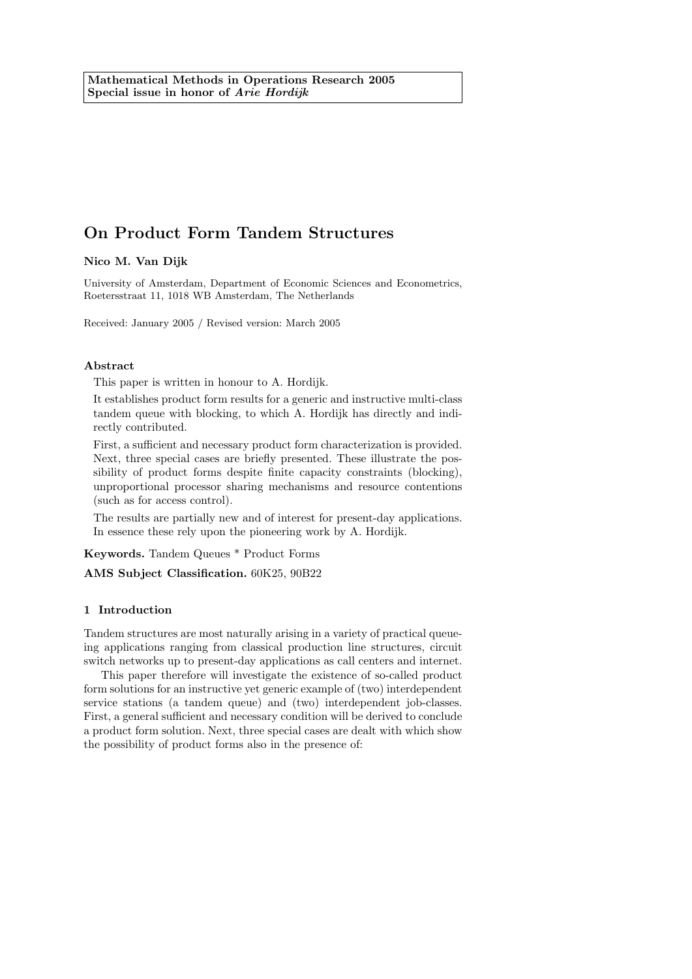# On Product Form Tandem Structures

Nico M. Van Dijk

University of Amsterdam, Department of Economic Sciences and Econometrics, Roetersstraat 11, 1018 WB Amsterdam, The Netherlands

Received: January 2005 / Revised version: March 2005

### Abstract

This paper is written in honour to A. Hordijk.

It establishes product form results for a generic and instructive multi-class tandem queue with blocking, to which A. Hordijk has directly and indirectly contributed.

First, a sufficient and necessary product form characterization is provided. Next, three special cases are briefly presented. These illustrate the possibility of product forms despite finite capacity constraints (blocking), unproportional processor sharing mechanisms and resource contentions (such as for access control).

The results are partially new and of interest for present-day applications. In essence these rely upon the pioneering work by A. Hordijk.

Keywords. Tandem Queues \* Product Forms

AMS Subject Classification. 60K25, 90B22

### 1 Introduction

Tandem structures are most naturally arising in a variety of practical queueing applications ranging from classical production line structures, circuit switch networks up to present-day applications as call centers and internet.

This paper therefore will investigate the existence of so-called product form solutions for an instructive yet generic example of (two) interdependent service stations (a tandem queue) and (two) interdependent job-classes. First, a general sufficient and necessary condition will be derived to conclude a product form solution. Next, three special cases are dealt with which show the possibility of product forms also in the presence of: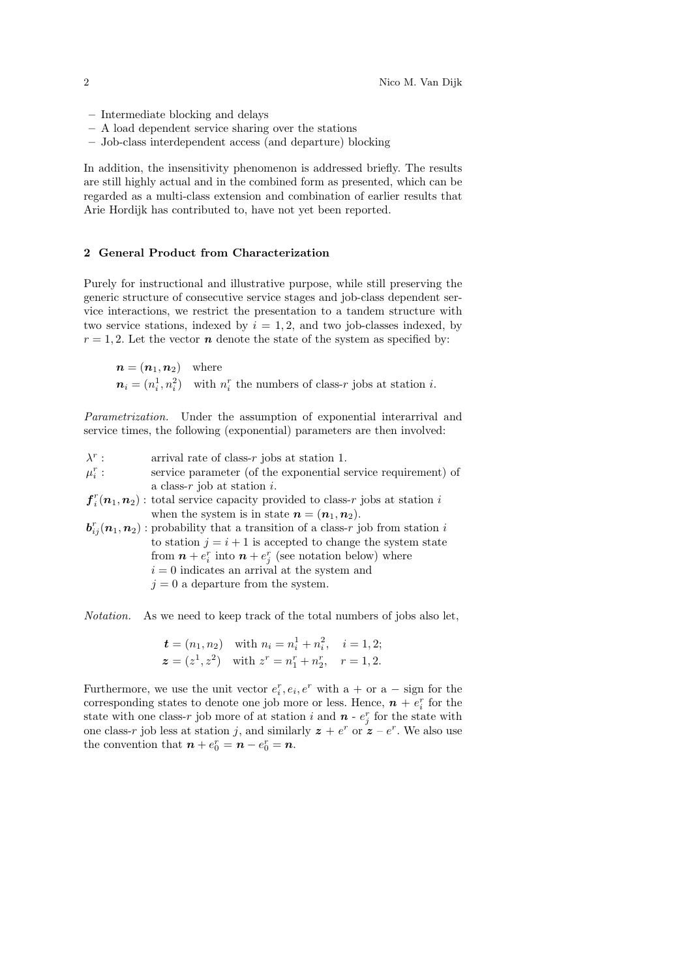- Intermediate blocking and delays
- A load dependent service sharing over the stations
- Job-class interdependent access (and departure) blocking

In addition, the insensitivity phenomenon is addressed briefly. The results are still highly actual and in the combined form as presented, which can be regarded as a multi-class extension and combination of earlier results that Arie Hordijk has contributed to, have not yet been reported.

### 2 General Product from Characterization

Purely for instructional and illustrative purpose, while still preserving the generic structure of consecutive service stages and job-class dependent service interactions, we restrict the presentation to a tandem structure with two service stations, indexed by  $i = 1, 2$ , and two job-classes indexed, by  $r = 1, 2$ . Let the vector **n** denote the state of the system as specified by:

 $n = (n_1, n_2)$  where  $n_i = (n_i^1, n_i^2)$  with  $n_i^r$  the numbers of class-r jobs at station *i*.

Parametrization. Under the assumption of exponential interarrival and service times, the following (exponential) parameters are then involved:

| $\lambda^r$ : | arrival rate of class- $r$ jobs at station 1.                                                                  |
|---------------|----------------------------------------------------------------------------------------------------------------|
| $\mu_i^r$ :   | service parameter (of the exponential service requirement) of                                                  |
|               | a class- $r$ job at station $i$ .                                                                              |
|               | $f_i^r(n_1, n_2)$ : total service capacity provided to class-r jobs at station i                               |
|               | when the system is in state $n = (n_1, n_2)$ .                                                                 |
|               | $\mathbf{b}_{ij}^r(\mathbf{n}_1,\mathbf{n}_2)$ : probability that a transition of a class-r job from station i |
|               | to station $j = i + 1$ is accepted to change the system state                                                  |
|               | from $\boldsymbol{n} + e_i^r$ into $\boldsymbol{n} + e_i^r$ (see notation below) where                         |
|               | $i=0$ indicates an arrival at the system and                                                                   |
|               | $j=0$ a departure from the system.                                                                             |
|               |                                                                                                                |

Notation. As we need to keep track of the total numbers of jobs also let,

$$
t = (n_1, n_2)
$$
 with  $n_i = n_i^1 + n_i^2$ ,  $i = 1, 2$ ;  
\n $z = (z^1, z^2)$  with  $z^r = n_1^r + n_2^r$ ,  $r = 1, 2$ .

Furthermore, we use the unit vector  $e_i^r, e_i, e^r$  with  $a + or a - sign$  for the corresponding states to denote one job more or less. Hence,  $\boldsymbol{n}$  +  $e_i^r$  for the state with one class-r job more of at station i and  $n$  -  $e_j^r$  for the state with one class-r job less at station j, and similarly  $z + e^r$  or  $z - e^r$ . We also use the convention that  $\boldsymbol{n} + e_0^r = \boldsymbol{n} - e_0^r = \boldsymbol{n}$ .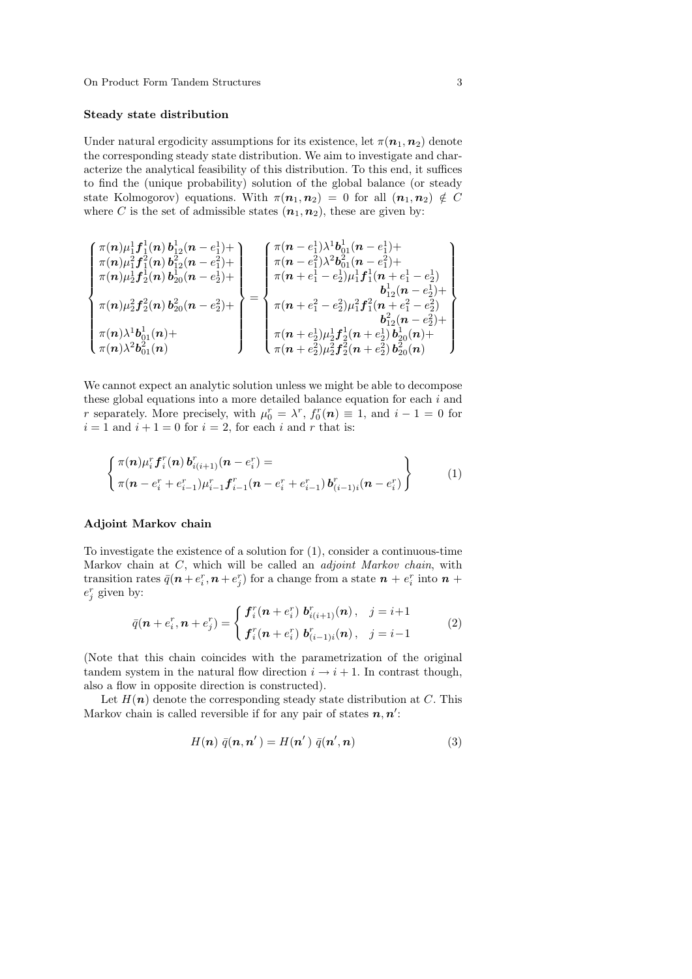### Steady state distribution

Under natural ergodicity assumptions for its existence, let  $\pi(\mathbf{n}_1, \mathbf{n}_2)$  denote the corresponding steady state distribution. We aim to investigate and characterize the analytical feasibility of this distribution. To this end, it suffices to find the (unique probability) solution of the global balance (or steady state Kolmogorov) equations. With  $\pi(\mathbf{n}_1, \mathbf{n}_2) = 0$  for all  $(\mathbf{n}_1, \mathbf{n}_2) \notin C$ where C is the set of admissible states  $(n_1, n_2)$ , these are given by:

$$
\begin{cases} \pi(n)\mu_1^1f_1^1(n)\,b_{12}^1(n-e_1^1)+\\ \pi(n)\mu_2^1f_2^2(n)\,b_{20}^1(n-e_2^1)+\\ \pi(n)\mu_2^2f_2^2(n)\,b_{20}^2(n-e_2^2)+\\ \pi(n)\mu_2^1f_2^1(n)\,b_{20}^2(n-e_2^2)+\\ \pi(n)\lambda^1b_{01}^1(n)+\\ \pi(n)\lambda^2b_{01}^2(n)\end{cases}=\begin{cases} \pi(n-e_1^1)\lambda^1b_{01}^1(n-e_1^1)+\\ \pi(n-e_1^2)\lambda^2b_{01}^2(n-e_1^2)+\\ \pi(n+e_1^1-e_2^1)\mu_1^1f_1^1(n+e_1^1-e_2^1)\\ \pi(n+e_1^2-e_2^2)\mu_1^2f_1^2(n+e_1^2-e_2^2)\\ b_{12}^2(n-e_2^2)+\\ b_{12}^2(n-e_2^2)+\\ \pi(n+e_2^1)\mu_2^1f_2^1(n+e_2^1)\,b_{20}^1(n)+\\ \pi(n+e_2^2)\mu_2^2f_2^2(n+e_2^2)\,b_{20}^2(n)\end{cases}
$$

We cannot expect an analytic solution unless we might be able to decompose these global equations into a more detailed balance equation for each  $i$  and r separately. More precisely, with  $\mu_0^r = \lambda^r$ ,  $f_0^r(n) \equiv 1$ , and  $i - 1 = 0$  for  $i = 1$  and  $i + 1 = 0$  for  $i = 2$ , for each i and r that is:

$$
\begin{cases}\n\pi(\boldsymbol{n})\mu_i^r \boldsymbol{f}_i^r(\boldsymbol{n}) \, \boldsymbol{b}_{i(i+1)}^r(\boldsymbol{n}-e_i^r) = \\
\pi(\boldsymbol{n}-e_i^r + e_{i-1}^r)\mu_{i-1}^r \boldsymbol{f}_{i-1}^r(\boldsymbol{n}-e_i^r + e_{i-1}^r) \, \boldsymbol{b}_{(i-1)i}^r(\boldsymbol{n}-e_i^r)\n\end{cases}
$$
\n(1)

# Adjoint Markov chain

To investigate the existence of a solution for (1), consider a continuous-time Markov chain at  $C$ , which will be called an *adjoint Markov chain*, with transition rates  $\bar{q}(n + e_i^r, n + e_j^r)$  for a change from a state  $n + e_i^r$  into  $n +$  $e_j^r$  given by:

$$
\bar{q}(\boldsymbol{n} + e_i^r, \boldsymbol{n} + e_j^r) = \begin{cases} \boldsymbol{f}_i^r(\boldsymbol{n} + e_i^r) \boldsymbol{b}_{i(i+1)}^r(\boldsymbol{n}), & j = i+1 \\ \boldsymbol{f}_i^r(\boldsymbol{n} + e_i^r) \boldsymbol{b}_{(i-1)i}^r(\boldsymbol{n}), & j = i-1 \end{cases}
$$
(2)

(Note that this chain coincides with the parametrization of the original tandem system in the natural flow direction  $i \rightarrow i + 1$ . In contrast though, also a flow in opposite direction is constructed).

Let  $H(n)$  denote the corresponding steady state distribution at C. This Markov chain is called reversible if for any pair of states  $n, n'$ :

$$
H(n) \bar{q}(n, n') = H(n') \bar{q}(n', n)
$$
\n(3)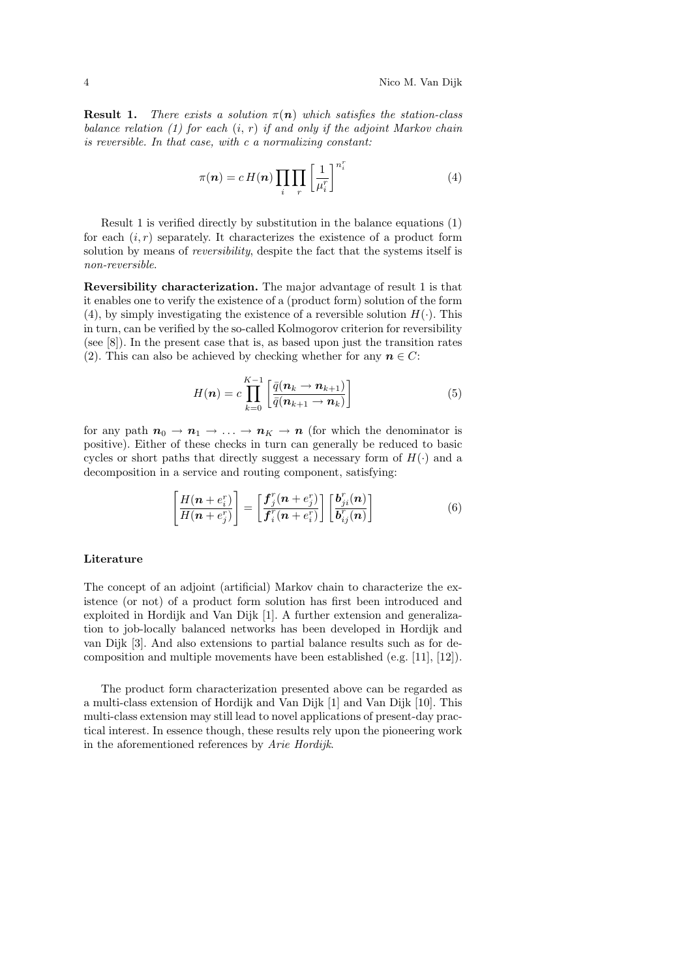**Result 1.** There exists a solution  $\pi(n)$  which satisfies the station-class balance relation  $(1)$  for each  $(i, r)$  if and only if the adjoint Markov chain is reversible. In that case, with c a normalizing constant:

$$
\pi(\boldsymbol{n}) = c \, H(\boldsymbol{n}) \prod_{i} \prod_{r} \left[ \frac{1}{\mu_i^r} \right]^{n_i^r} \tag{4}
$$

Result 1 is verified directly by substitution in the balance equations (1) for each  $(i, r)$  separately. It characterizes the existence of a product form solution by means of *reversibility*, despite the fact that the systems itself is non-reversible.

Reversibility characterization. The major advantage of result 1 is that it enables one to verify the existence of a (product form) solution of the form (4), by simply investigating the existence of a reversible solution  $H(\cdot)$ . This in turn, can be verified by the so-called Kolmogorov criterion for reversibility (see [8]). In the present case that is, as based upon just the transition rates (2). This can also be achieved by checking whether for any  $n \in C$ :

$$
H(n) = c \prod_{k=0}^{K-1} \left[ \frac{\bar{q}(n_k \to n_{k+1})}{\bar{q}(n_{k+1} \to n_k)} \right]
$$
(5)

for any path  $n_0 \to n_1 \to \ldots \to n_K \to n$  (for which the denominator is positive). Either of these checks in turn can generally be reduced to basic cycles or short paths that directly suggest a necessary form of  $H(\cdot)$  and a decomposition in a service and routing component, satisfying:

$$
\left[\frac{H(\boldsymbol{n}+e_i^r)}{H(\boldsymbol{n}+e_j^r)}\right] = \left[\frac{\boldsymbol{f}_j^r(\boldsymbol{n}+e_j^r)}{\boldsymbol{f}_i^r(\boldsymbol{n}+e_i^r)}\right] \left[\frac{\boldsymbol{b}_{ji}^r(\boldsymbol{n})}{\boldsymbol{b}_{ij}^r(\boldsymbol{n})}\right]
$$
(6)

### Literature

The concept of an adjoint (artificial) Markov chain to characterize the existence (or not) of a product form solution has first been introduced and exploited in Hordijk and Van Dijk [1]. A further extension and generalization to job-locally balanced networks has been developed in Hordijk and van Dijk [3]. And also extensions to partial balance results such as for decomposition and multiple movements have been established (e.g. [11], [12]).

The product form characterization presented above can be regarded as a multi-class extension of Hordijk and Van Dijk [1] and Van Dijk [10]. This multi-class extension may still lead to novel applications of present-day practical interest. In essence though, these results rely upon the pioneering work in the aforementioned references by Arie Hordijk.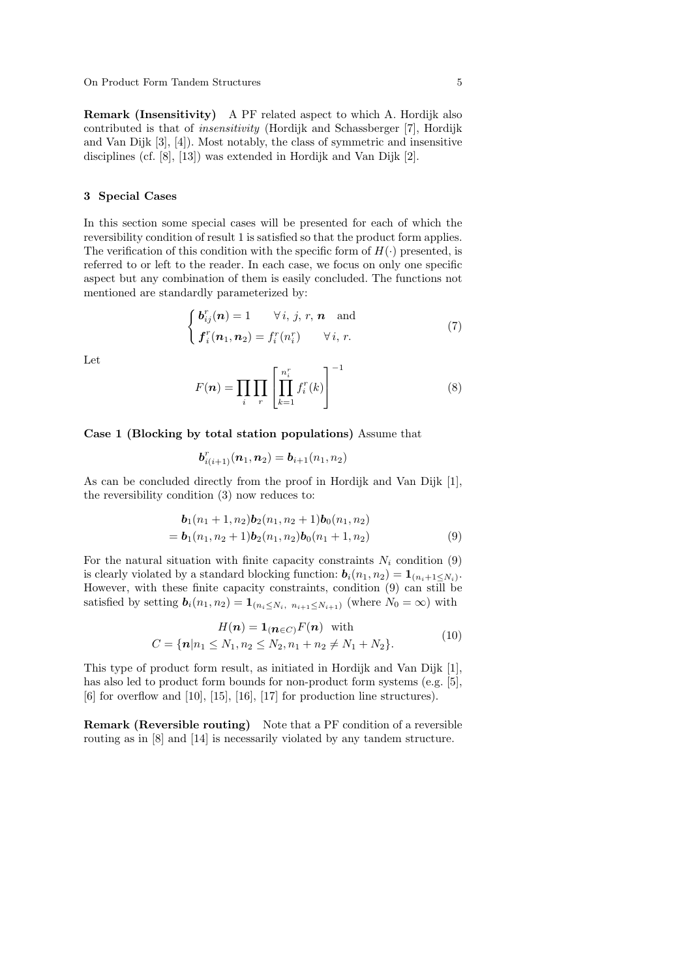Remark (Insensitivity) A PF related aspect to which A. Hordijk also contributed is that of insensitivity (Hordijk and Schassberger [7], Hordijk and Van Dijk [3], [4]). Most notably, the class of symmetric and insensitive disciplines (cf. [8], [13]) was extended in Hordijk and Van Dijk [2].

## 3 Special Cases

In this section some special cases will be presented for each of which the reversibility condition of result 1 is satisfied so that the product form applies. The verification of this condition with the specific form of  $H(\cdot)$  presented, is referred to or left to the reader. In each case, we focus on only one specific aspect but any combination of them is easily concluded. The functions not mentioned are standardly parameterized by:

$$
\begin{cases}\n\boldsymbol{b}_{ij}^r(\boldsymbol{n}) = 1 & \forall i, j, r, \boldsymbol{n} \text{ and} \\
\boldsymbol{f}_i^r(\boldsymbol{n}_1, \boldsymbol{n}_2) = f_i^r(n_i^r) & \forall i, r.\n\end{cases} \tag{7}
$$

Let

$$
F(n) = \prod_{i} \prod_{r} \left[ \prod_{k=1}^{n_i^r} f_i^r(k) \right]^{-1} \tag{8}
$$

Case 1 (Blocking by total station populations) Assume that

$$
\bm{b}_{i(i+1)}^r(\bm{n}_1,\bm{n}_2)=\bm{b}_{i+1}(n_1,n_2)
$$

As can be concluded directly from the proof in Hordijk and Van Dijk [1], the reversibility condition (3) now reduces to:

$$
\mathbf{b}_1(n_1+1,n_2)\mathbf{b}_2(n_1,n_2+1)\mathbf{b}_0(n_1,n_2)
$$
  
=  $\mathbf{b}_1(n_1,n_2+1)\mathbf{b}_2(n_1,n_2)\mathbf{b}_0(n_1+1,n_2)$  (9)

For the natural situation with finite capacity constraints  $N_i$  condition (9) is clearly violated by a standard blocking function:  $\mathbf{b}_i(n_1, n_2) = \mathbf{1}_{(n_i+1 \leq N_i)}$ . However, with these finite capacity constraints, condition (9) can still be satisfied by setting  $\mathbf{b}_i(n_1, n_2) = \mathbf{1}_{(n_i \leq N_i, n_{i+1} \leq N_{i+1})}$  (where  $N_0 = \infty$ ) with

$$
H(n) = \mathbf{1}_{(n \in C)} F(n) \text{ with}
$$
  

$$
C = \{n | n_1 \le N_1, n_2 \le N_2, n_1 + n_2 \ne N_1 + N_2\}.
$$
 (10)

This type of product form result, as initiated in Hordijk and Van Dijk [1], has also led to product form bounds for non-product form systems (e.g. [5],  $[6]$  for overflow and  $[10]$ ,  $[15]$ ,  $[16]$ ,  $[17]$  for production line structures).

Remark (Reversible routing) Note that a PF condition of a reversible routing as in [8] and [14] is necessarily violated by any tandem structure.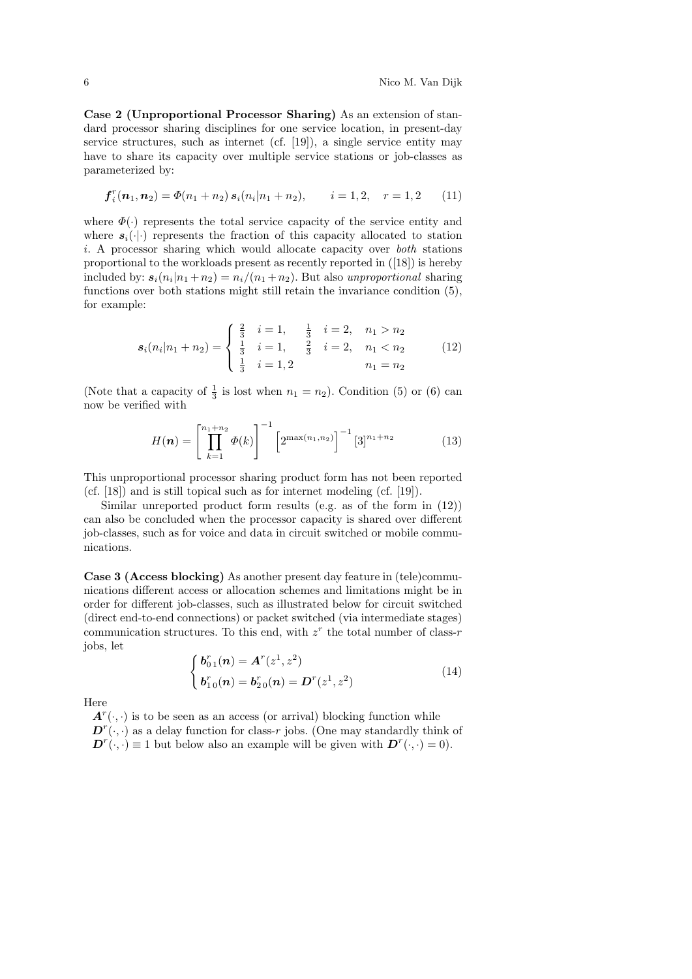Case 2 (Unproportional Processor Sharing) As an extension of standard processor sharing disciplines for one service location, in present-day service structures, such as internet (cf.  $[19]$ ), a single service entity may have to share its capacity over multiple service stations or job-classes as parameterized by:

$$
\boldsymbol{f}_i^r(\boldsymbol{n}_1, \boldsymbol{n}_2) = \boldsymbol{\Phi}(n_1 + n_2) \, \boldsymbol{s}_i(n_i | n_1 + n_2), \qquad i = 1, 2, \quad r = 1, 2 \qquad (11)
$$

where  $\Phi(\cdot)$  represents the total service capacity of the service entity and where  $s_i(\cdot|\cdot)$  represents the fraction of this capacity allocated to station i. A processor sharing which would allocate capacity over both stations proportional to the workloads present as recently reported in ([18]) is hereby included by:  $s_i(n_i|n_1 + n_2) = \frac{n_i}{n_1 + n_2}$ . But also unproportional sharing functions over both stations might still retain the invariance condition (5), for example:

$$
s_i(n_i|n_1+n_2) = \begin{cases} \frac{2}{3} & i=1, \quad \frac{1}{3} & i=2, \quad n_1 > n_2 \\ \frac{1}{3} & i=1, \quad \frac{2}{3} & i=2, \quad n_1 < n_2 \\ \frac{1}{3} & i=1,2 \quad n_1 = n_2 \end{cases} \tag{12}
$$

(Note that a capacity of  $\frac{1}{3}$  is lost when  $n_1 = n_2$ ). Condition (5) or (6) can now be verified with

$$
H(n) = \left[\prod_{k=1}^{n_1+n_2} \Phi(k)\right]^{-1} \left[2^{\max(n_1, n_2)}\right]^{-1} [3]^{n_1+n_2}
$$
 (13)

This unproportional processor sharing product form has not been reported (cf. [18]) and is still topical such as for internet modeling (cf. [19]).

Similar unreported product form results (e.g. as of the form in (12)) can also be concluded when the processor capacity is shared over different job-classes, such as for voice and data in circuit switched or mobile communications.

Case 3 (Access blocking) As another present day feature in (tele)communications different access or allocation schemes and limitations might be in order for different job-classes, such as illustrated below for circuit switched (direct end-to-end connections) or packet switched (via intermediate stages) communication structures. To this end, with  $z<sup>r</sup>$  the total number of class-r jobs, let

$$
\begin{cases}\n\bm{b}_{01}^r(\bm{n}) = \bm{A}^r(z^1, z^2) \\
\bm{b}_{10}^r(\bm{n}) = \bm{b}_{20}^r(\bm{n}) = \bm{D}^r(z^1, z^2)\n\end{cases}
$$
\n(14)

Here

 $A^r(\cdot, \cdot)$  is to be seen as an access (or arrival) blocking function while  $\mathbf{D}^r(\cdot,\cdot)$  as a delay function for class-r jobs. (One may standardly think of  $\mathbf{D}^r(\cdot,\cdot) \equiv 1$  but below also an example will be given with  $\mathbf{D}^r(\cdot,\cdot) = 0$ .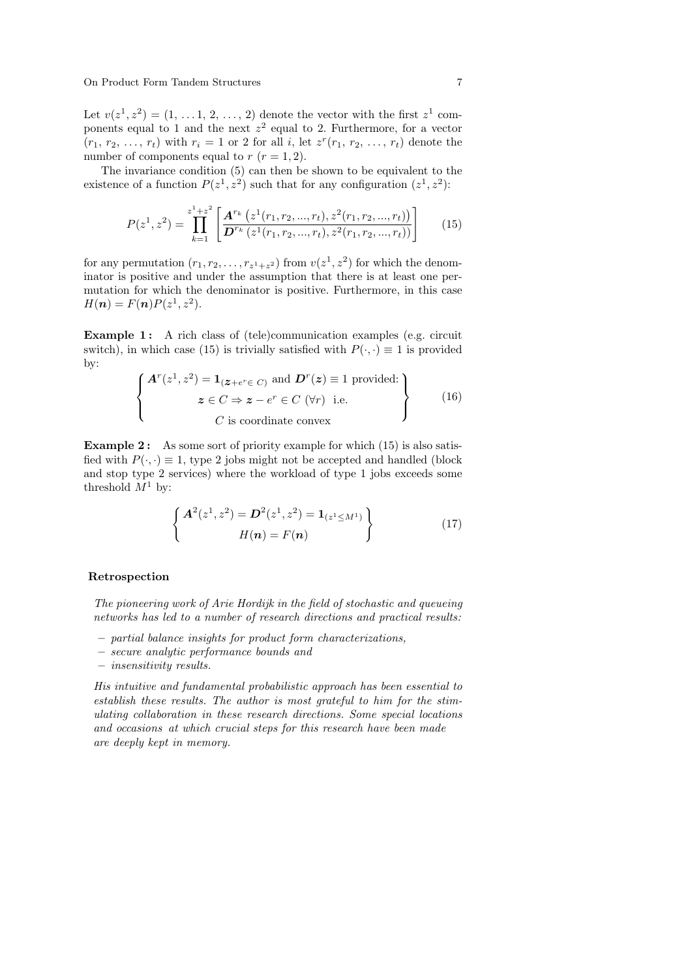On Product Form Tandem Structures 7

Let  $v(z^1, z^2) = (1, \ldots, 1, 2, \ldots, 2)$  denote the vector with the first  $z^1$  components equal to 1 and the next  $z^2$  equal to 2. Furthermore, for a vector  $(r_1, r_2, ..., r_t)$  with  $r_i = 1$  or 2 for all *i*, let  $z^r(r_1, r_2, ..., r_t)$  denote the number of components equal to  $r (r = 1, 2)$ .

The invariance condition (5) can then be shown to be equivalent to the existence of a function  $P(z^1, z^2)$  such that for any configuration  $(z^1, z^2)$ :

$$
P(z^1, z^2) = \prod_{k=1}^{z^1 + z^2} \left[ \frac{\mathbf{A}^{r_k} \left( z^1(r_1, r_2, ..., r_t), z^2(r_1, r_2, ..., r_t) \right)}{\mathbf{D}^{r_k} \left( z^1(r_1, r_2, ..., r_t), z^2(r_1, r_2, ..., r_t) \right)} \right]
$$
(15)

for any permutation  $(r_1, r_2, \ldots, r_{z^1+z^2})$  from  $v(z^1, z^2)$  for which the denominator is positive and under the assumption that there is at least one permutation for which the denominator is positive. Furthermore, in this case  $H(n) = F(n)P(z^1, z^2).$ 

**Example 1:** A rich class of (tele)communication examples (e.g. circuit switch), in which case (15) is trivially satisfied with  $P(\cdot, \cdot) \equiv 1$  is provided by:

$$
\begin{Bmatrix}\n\mathbf{A}^r(z^1, z^2) = \mathbf{1}_{(\mathbf{z} + e^r \in C)} \text{ and } \mathbf{D}^r(\mathbf{z}) \equiv 1 \text{ provided:} \\
z \in C \Rightarrow \mathbf{z} - e^r \in C \ (\forall r) \text{ i.e.} \\
C \text{ is coordinate convex}\n\end{Bmatrix}
$$
\n(16)

**Example 2:** As some sort of priority example for which  $(15)$  is also satisfied with  $P(\cdot, \cdot) \equiv 1$ , type 2 jobs might not be accepted and handled (block and stop type 2 services) where the workload of type 1 jobs exceeds some threshold  $M^1$  by:

$$
\begin{cases}\nA^{2}(z^{1}, z^{2}) = D^{2}(z^{1}, z^{2}) = \mathbf{1}_{(z^{1} \le M^{1})} \\
H(\mathbf{n}) = F(\mathbf{n})\n\end{cases}
$$
\n(17)

### Retrospection

The pioneering work of Arie Hordijk in the field of stochastic and queueing networks has led to a number of research directions and practical results:

- partial balance insights for product form characterizations,
- secure analytic performance bounds and
- insensitivity results.

 $\overline{\phantom{a}}$ 

His intuitive and fundamental probabilistic approach has been essential to establish these results. The author is most grateful to him for the stimulating collaboration in these research directions. Some special locations and occasions at which crucial steps for this research have been made are deeply kept in memory.